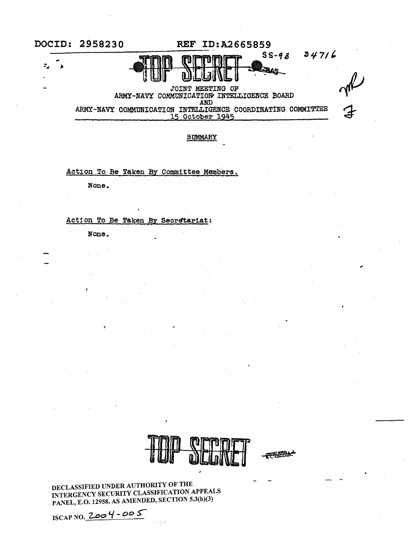

**SUMMARY** 

Action To Be Taken By Committee Members.

None.

# Action To Be Taken By Secretariat:

None.



,

DECLASSIFIED UNDER AUTHORITY OF THE INTERGENCY SECURITY CLASSIFICATION APPEALS PANEL, E.0.12958, AS AMENDED, SECTION 5.3(b)(3)

ISCAP NO. 2..oe> <./ - *OO* S-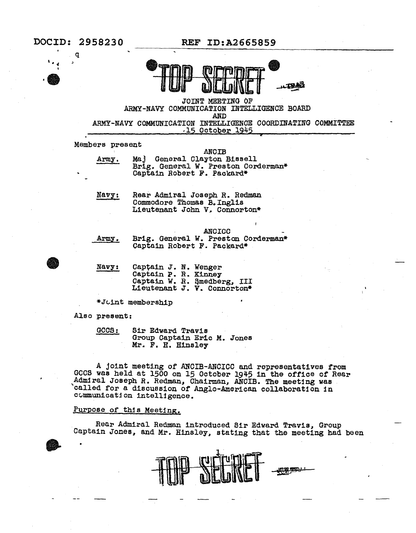

JOINT MEETING OF ARMY-NAVY COMMUNICATION INTELLIGENCE BOARD AND ARMY-NAVY COMMUNICATION INTELLIGENCE COORDINATING COMMITTEE ,15 October 1945 \*

Members present

Army. ANOIB Maj General Clayton Bissell Brig. General w. Preston Corderman\* Captain Robert F. Packard\*

Navy:

Rear Admiral Joseph R. Redman<br>Commodore Thomas B. Inglis Lieutenant John V. Connorton\*

**ANCICC** 

Army.

Brig. General *W.* Preston Corderman\* Captain Robert F. Packard\*

| Navy: | Captain J. N. Wenger |                             |
|-------|----------------------|-----------------------------|
|       | Captain P. R. Kinney |                             |
|       |                      | Captain W. R. Smedberg, III |
|       |                      | Lieutenant J. V. Connorton* |

\*Joint membership

Also present:

| CCS:<br><u>www.communications.com</u> | Sir Edward Travis           |  |  |  |
|---------------------------------------|-----------------------------|--|--|--|
|                                       | Group Captain Eric M. Jones |  |  |  |
|                                       | Mr. F. H. Hinsley           |  |  |  |

<sup>A</sup>joint meeting of ANCIB-ANCICC and representatives from GCCS was held at 1500 on 15 October 1945 1n the office of Rear Admiral Joseph R. Redman, Chairman, ANCIB. The meeting was called for a discussion of Anglo-American collaboration in ovmmun1cat:1on intelligence.

## Purpose of this Meeting.

Rear Admiral Redman introduced Sir Edward Travis, Group Captain Jones, and Mr. Hinsley, stating that the meeting had been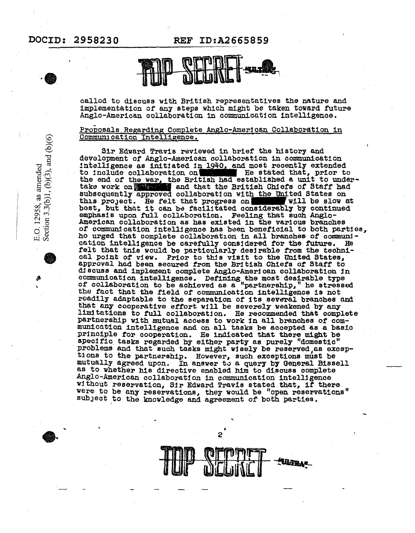# DOCID: 2958230

**REF ID:A2665859** 



callod to discuss with British representatives the nature and implementation of any steps which might be taken toward future Anglo-American collaboration in communication intelligence.

#### Proposals Regarding Complete Anglo-American Collaboration in Communication Intelligence.

Sir Edward Travis reviewed in brief the history and development of Anglo-American collaboration in communication intelligence as initiated in 1940, and most recently extended to include collaboration on He stated that, prior to the end of the war, the British had established a unit to under-<br>take work on the war, and that the British Chiefs of Staff had subsequently approved collaboration with the United States on this project. He felt that progress on will be slow at best, but that it can be facilitated considerably by continued emphasis upon full collaboration. Feeling that such Anglo-American collaboration as has existed in the various branches of communication intelligence has been beneficial to both parties, ho urged that complete collaboration in all branches of communication intelligence be carefully considered for the future. felt that tnis would be particularly desirable from the technical point of view. Prior to this visit to the United States, approval had been secured from the British Chiefs of Staff to discuss and implement complete Anglo-American collaboration in communication intelligence. Defining the most desirable type of collaboration to be achieved as a "partnership," he stressed the fact that the field of communication intelligence is not roadlly adaptable to the separation of its several branches and that any cooperative effort will be severely weakened by any limitations to full collaboration. He recommended that complete partnership with mutual access to work in all branches of communication intelligence and on all tasks be accepted as a basic principle for cooperation. He indicated that there might be specific tasks regarded by either party as purely "domestic" problems and that such tasks might wisely be reserved as exceptions to the partnership. However, such exceptions must be mutually agreed upon. In answer to a query by General Bissell as to whether his directive enabled him to discuss complete Anglo-American collaboration in communication intelligence without reservation, Sir Edward Travis stated that, if there were to be any reservations, they would be "open reservations" subject to the knowledge and agreement of both parties.

2



Section 3.3(b)1, (b)(3), and (b)(6)

E.O. 12958, as amended

Þ Ŷ.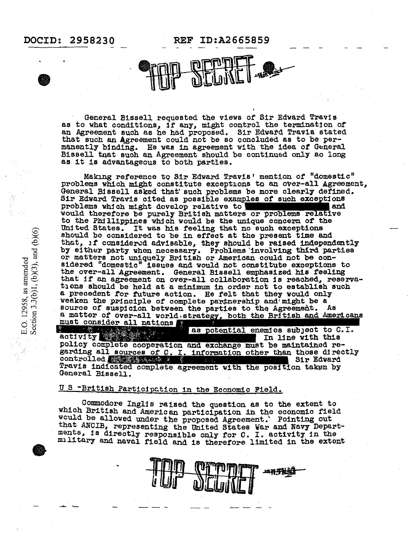# DOCID: 2958230 REF ID:A2665859

General Bissell requested the views of Sir Edward Travis as to what conditions, if any, might control the termination of an Agreement such as he had proposed. Sir Edward Travis stated that such an Agreement could not be so concluded as to be permanently binding. He was in agreement with the idea of General Bissell tnat such an Agreement should be continued only ao long as it is advantageous to both parties.

Making reference to Sir Edward Travis' mention of "domestic" problems which might constitute exceptions to an over-all Agreement, General Bissell asked that' such problems be more clearly defined. Sir Edward Travis cited as possible examples of such exceptions problems which might develop relative to **a.:** would therefore be purely British matters or problems relative to the Phillippines which would be the unique concern of the United States. It was his feeling that no such exceptions should be considered to be in effect at the present time and that,  $1f$  considered advisable, they should be raised independently by either party when necessary. Problems 'involving third parties or matters not uniquely British or American could not be considered "domestic" issues and would not constitute exceptions to the over-all Agreement. General Bissell emphasized his feeling that if an agreement on over-all collaboration is reached, reservations should be held at a minimum in order not to establish such a precedent for future action. He felt that they would only weaken the principle of complete partnership and might be a source of suspicion between the parties to the Agreement. As a matter of over-all world.strategy, both the British and Americans

must consider all nations as potential enemies subject to C.I. In line with this policy complete cooperation and exchange must be maintained regarding all sources of C. I. information other than those directly controlled Sir Edward Travis indicated complete agreement with the position taken by General Bissell.

# U S -British Participation in the Economic Field.

Commodore Inglis raised the question as to the extent to which British and American participation in the economic field would be allowed under the proposed Agreement.' Pointing out that ANCIB, representing the United States War and Navy Departments, is directly responsible only for C. I. activity in the military and naval field and is therefore limited in the extent

一件光彩

E.O. 12958, as amended<br>Section 3.3(b)1, (b)(3), and (b)(6)

e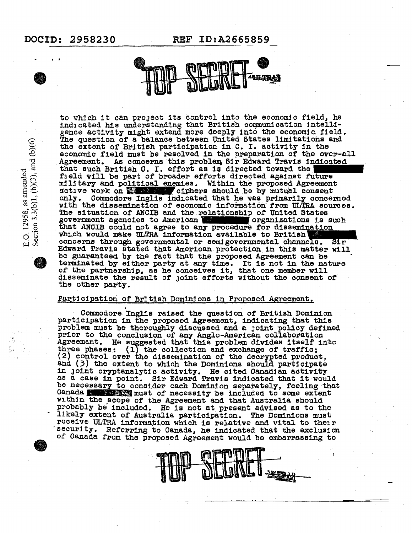I I

E.O. 12958, as amended<br>Section 3.3(b)1, (b)(3), and (b)(6)

DOCID: 2958230 REF ID:A2665859



to which it can project its control into the economic field, he indicated his understanding that British communication intelligence activity might extend more deeply into the economic field. The question of a balance between Vnited States limitations and the extent of British participation 1n C. I. activity in the economic field must be resolved in the preparation of the over-all Agreement. As concerns this problem Sir Edward Travis indicated that such British C. I. effort as is directed toward the field will be part of broader efforts directed against future military and political enemies. Within the proposed Agreement  $\alpha$ :  $\alpha$  of  $\alpha$  ciphers should be by mutual consent only. Commodore Inglis indicated that he was primarily concerned with the dissemination of economic information from ULTRA sources. The situation of ANCIB and the relationship of United States government agencies to American **Community** organizations is such that ANCIB could not agree to any procedure for dissemination which would make ULTRA 1nf'ormat1on available to Brit1sh1111111m1111111 concerns through governmental or semigovernmental channels. Edward Travis stated that American protection 1n this matter will be guaranteed by the fact that the proposed Agreement can be terminated by either party at any time. It is not in the nature of the partnership, as he conceives it, that one member will disseminate the result of Joint efforts without the consent of the other party.

#### Participation of British Dominions in Proposed Agreement.

Commodore Inglis raised the question of British Dominion participation in the proposed Agreement, indicating that this problem must be thoroughly discussed and a joint policy defined prior to the conclusion of any Anglo-American col1aborat1on Agreement. He suggested that this problem divides itself into<br>three phases: (1) the collection and exchange of traffic; three phases: {l) the collection and exchange *of* traffic; and (3) the extent to which the Dominions should participate in Joint cryptanalytic activity. He cited Canadian activity as a case in point. Sir Edward Travis indicated that it would be necessary to consider each Dominion separately, feeling that Canada. Must of necessity be included to some extent within the scope of the Agreement and that Australia should probably be included. He is not at present advised as to the likely extent of Australia participation. The Dominions must receive ULTRA information which is relative and vital to their security. Referring to Canada, he indicated that the exclusion of Canada from the proposed Agreement would be embarrassing to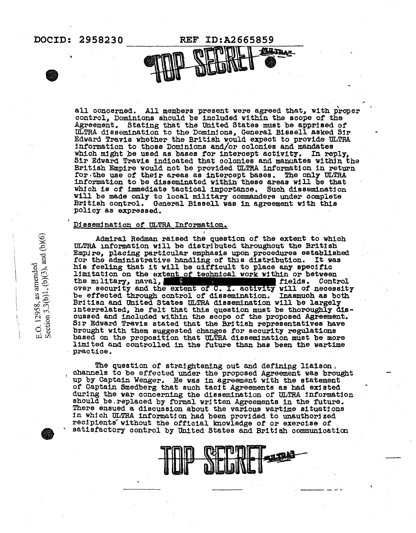# DOCID: 2958230 REF ID:A2665859

**Winst** 

all concerned. All members present were agreed that, with proper control, Dominions should be included within the scope of the Agreement. Stating that the United States must be apprised of ULTRA dissemination to the Dominions, General Bissell asked Sir Edward Travis whether the British would expect to provide ULTRA information to those Dominions and/or colonies and mandates which might be used as bases for intercept activity. In reply, Sir Edward Travis indicated that colonies and manuates within the British Empire would not be provided ULTRA information in return for the use of their areas as intercept bases. The only ULTRA information to be disseminated within these areas will be that which is of immediate tactical importance. Such dissemination will be made only to local military commanders under complete<br>British control. General Bissell was in agreement with this policy as expressed.

#### Dissemination of ULTRA Information.

Admiral Redman raised the question of the extent to which ULTRA information will be distributed throughout the British EmpJre, plaoing particular emphasis upon procedures established Empire, placing particular emphasis upon procedures established for the administrative handling of this distribution. It was his feeling that it will be aifficult to place any specific limitation on the extent of technical work within or between the military, naval, with the military, naval, over security and the extent of C. I. activity will of necessity b- effected through control of dissemination. Inasmuch as both Britisn and United States ULTRA dissemination will be largely interrelated, he felt that this question must be thoroughly discussed and included within the scope of the proposed Agreement.<br>Sir Edward Travis stated that the British representatives have Sir Edward Travis stated that the British representatives have brought with them suggested changes for security regulations based on the proposition that ULTRA dissemination must be more limited and controlled in the future than has been the wartime practice.

The question of straightening out and defining liaison. channels to be effected under the proposed Agreement was brought up by Captain Wenger. He was in agreement with the statement of Captain Smedberg that such tacit Agreements as had ex:tsted during the war concerning the dissemination of ULTRA information should be, replaced by formal written Agreements in the future. There ensued a discussion about the various wartime situations<br>in which ULTRA information had been provided to unauthorized<br>recipients without the official knowledge of or exercise of<br>satisfactory control by United States

------

E.O. 12958, as amended<br>Section 3.3(b)1, (b)(3), and (b)(6)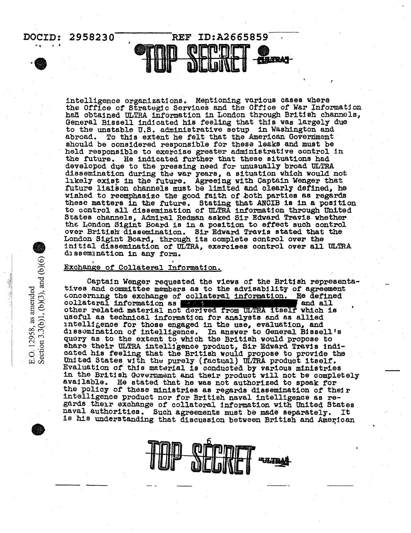

intelligence organizations. Mentioning various cases where the Office of Strategic Services and the Office of War Information had obtained ULTRA information in London through British channels, General Bissell indicated his feeling that this was largely due to the unstable U.S. administrative setup in Washington and To this extent he felt that the American Government abroad. should be considered responsible for these leaks and must be held responsible to exercise greater administrative control in the future. He indicated further that these situations had developed due to the pressing need for unusually broad ULTRA dissemination during the war years, a situation which would not likely exist in the future. Agreeing with Captain Wenger that future liaison channels must be limited and clearly defined, he wished to reemphasize the good faith of both parties as regards these matters in the future. Stating that ANCIB is in a position to control all dissemination of ULTRA information through United States channels, Admiral Redman asked Sir Edward Travis whether the London Sigint Board is in a position to effect such control over British dissemination. Sir Edward Travis stated that the London Sigint Board, through its complete control over the initial dissemination of ULTRA, exercises control over all ULTRA dissemination in any form.

#### Exchange of Collateral Information.

Captain Wenger requested the views of the British representatives and committee members as to the advisability of agreement concerning the exchange of collateral information. He defined collateral information as 'and all other related material not derived from ULTRA itself which is useful as technical information for analysts and as allied intelligence for those engaged in the use, evaluation, and dissemination of intelligence. In answer to General Bissell's quory as to the extent to which the British would propose to share their ULTRA intelligence product, Sir Edward Travis indicated his feeling that the British would propose to provide the United States with the purely (factual) ULTRA product itself. Evaluation of this material is conducted by various ministries in the British Government and their product will not be completely available. He stated that he was not authorized to speak for the policy of these ministries as regards dissemination of their intelligence product nor for British naval intelligence as regards their exchange of collateral information with United States naval authorities. Such agreements must be made separately. It is his understanding that discussion between British and American



E.O. 12958, as amended<br>Section 3.3(b)1, (b)(3), and (b)(6)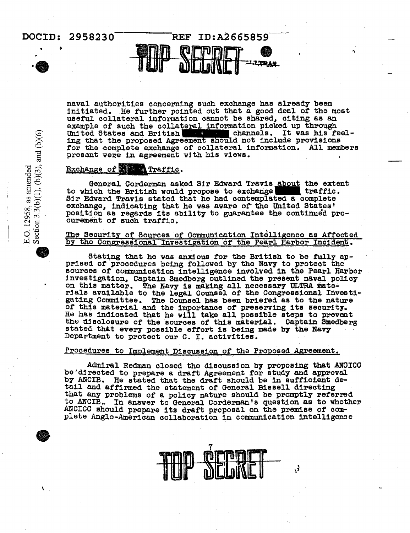# DOCID: 2958230 • • REF ID:A2665859 ILUP DELDIKE | TITELA

naval authorities concerning such exchange has already been initiated. He further pointed out that a good deal of the most useful collateral information cannot be shared, citing as an example of such the collateral information picked up through United States and British **With the channels.** It was his feeling that the proposed Agreement should not include provisions for the complete exchange of collateral information. All members present were in agreement with his views.

### Exchange of **the final functio**.

General Corderman asked Sir Edward Travis about the extent ich the British would propose to exchange to which the British would propose to exchange traffic Sir Edward Travis stated that he had contemplated a complete Sir Edward Travis stated that he had contemplated a complete exchange, indicating that he was aware of the United States' position as regards its ability to guarantee the continued procurement or such traffic.

#### The Security of Sources of Communication Intelligence as Affected by the Congressional Investigation of the Pearl Harbor Incident.

Stating that he was anxious for the British to be fully ap-<br>prised of procedures being followed by the Navy to protect the sources or communication intelligence involved in the Pearl Harbor investigation, Captain Smedberg outlined the present naval policy. on this matter. The Navy is making all necessary ULTRA materials available to the legal Counsel of the Congressional Invest1~ gating Committee. The Counsel has been briefed as to the nature of this material and the importance of preserving its security. He has indicated that he will take all possible steps to prevent<br>the disclosure of the sources of this material. Captain Smedberg<br>stated that every possible effort is being made by the Navy<br>Department to protect our C. I.

#### Procedures to Implement Discussion of the Proposed Agreement.

Admiral Redman closed the discussion by proposing that ANCICC be'directed to prepare a draft Agreement for study and approval by ANCIB. He stated that the draft should be in sufficient detail and affirmed the statement of General Bissell directing<br>that any problems of a policy nature should be promptly referred to ANCIB. In answer to General Corderman's question as to whether ANCICC should prepare its draft proposal on the premise of complete Anglo-American collaboration in communication intelligence



3,

E.O. 12958, as amended<br>Section 3.3(b)(1), (b)(3), and (b)(6)